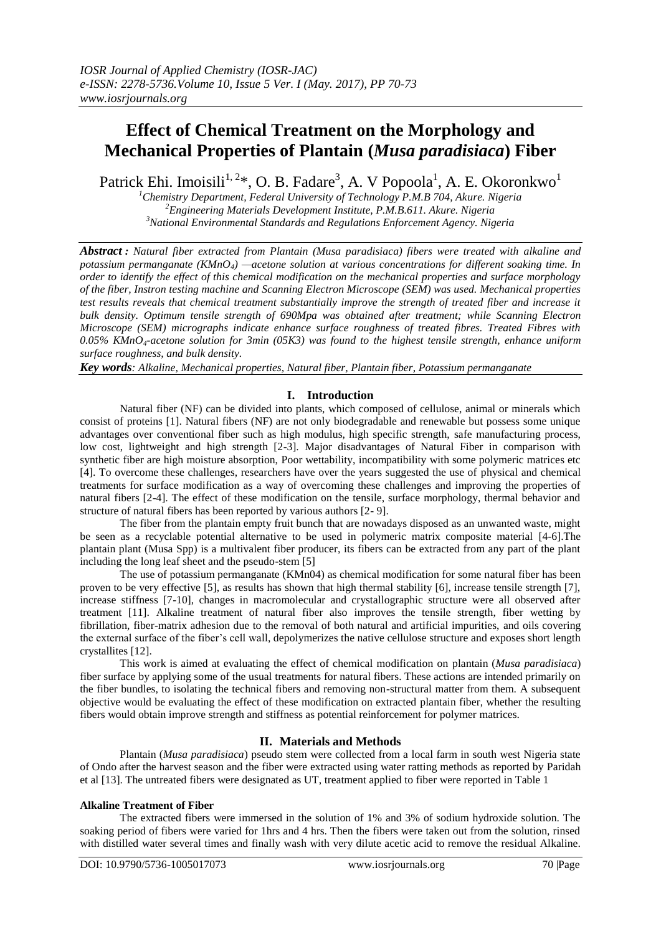# **Effect of Chemical Treatment on the Morphology and Mechanical Properties of Plantain (***Musa paradisiaca***) Fiber**

Patrick Ehi. Imoisili<sup>1, 2</sup>\*, O. B. Fadare<sup>3</sup>, A. V Popoola<sup>1</sup>, A. E. Okoronkwo<sup>1</sup>

*<sup>1</sup>Chemistry Department, Federal University of Technology P.M.B 704, Akure. Nigeria <sup>2</sup>Engineering Materials Development Institute, P.M.B.611. Akure. Nigeria <sup>3</sup>National Environmental Standards and Regulations Enforcement Agency. Nigeria*

*Abstract : Natural fiber extracted from Plantain (Musa paradisiaca) fibers were treated with alkaline and potassium permanganate (KMnO4) —acetone solution at various concentrations for different soaking time. In order to identify the effect of this chemical modification on the mechanical properties and surface morphology of the fiber, Instron testing machine and Scanning Electron Microscope (SEM) was used. Mechanical properties test results reveals that chemical treatment substantially improve the strength of treated fiber and increase it bulk density. Optimum tensile strength of 690Mpa was obtained after treatment; while Scanning Electron Microscope (SEM) micrographs indicate enhance surface roughness of treated fibres. Treated Fibres with 0.05% KMnO4-acetone solution for 3min (05K3) was found to the highest tensile strength, enhance uniform surface roughness, and bulk density.*

*Key words: Alkaline, Mechanical properties, Natural fiber, Plantain fiber, Potassium permanganate*

# **I. Introduction**

Natural fiber (NF) can be divided into plants, which composed of cellulose, animal or minerals which consist of proteins [1]. Natural fibers (NF) are not only biodegradable and renewable but possess some unique advantages over conventional fiber such as high modulus, high specific strength, safe manufacturing process, low cost, lightweight and high strength [2-3]. Major disadvantages of Natural Fiber in comparison with synthetic fiber are high moisture absorption, Poor wettability, incompatibility with some polymeric matrices etc [4]. To overcome these challenges, researchers have over the years suggested the use of physical and chemical treatments for surface modification as a way of overcoming these challenges and improving the properties of natural fibers [2-4]. The effect of these modification on the tensile, surface morphology, thermal behavior and structure of natural fibers has been reported by various authors [2- 9].

The fiber from the plantain empty fruit bunch that are nowadays disposed as an unwanted waste, might be seen as a recyclable potential alternative to be used in polymeric matrix composite material [4-6].The plantain plant (Musa Spp) is a multivalent fiber producer, its fibers can be extracted from any part of the plant including the long leaf sheet and the pseudo-stem [5]

The use of potassium permanganate (KMn04) as chemical modification for some natural fiber has been proven to be very effective [5], as results has shown that high thermal stability [6], increase tensile strength [7], increase stiffness [7-10], changes in macromolecular and crystallographic structure were all observed after treatment [11]. Alkaline treatment of natural fiber also improves the tensile strength, fiber wetting by fibrillation, fiber-matrix adhesion due to the removal of both natural and artificial impurities, and oils covering the external surface of the fiber's cell wall, depolymerizes the native cellulose structure and exposes short length crystallites [12].

This work is aimed at evaluating the effect of chemical modification on plantain (*Musa paradisiaca*) fiber surface by applying some of the usual treatments for natural fibers. These actions are intended primarily on the fiber bundles, to isolating the technical fibers and removing non-structural matter from them. A subsequent objective would be evaluating the effect of these modification on extracted plantain fiber, whether the resulting fibers would obtain improve strength and stiffness as potential reinforcement for polymer matrices.

## **II. Materials and Methods**

Plantain (*Musa paradisiaca*) pseudo stem were collected from a local farm in south west Nigeria state of Ondo after the harvest season and the fiber were extracted using water ratting methods as reported by Paridah et al [13]. The untreated fibers were designated as UT, treatment applied to fiber were reported in Table 1

#### **Alkaline Treatment of Fiber**

The extracted fibers were immersed in the solution of 1% and 3% of sodium hydroxide solution. The soaking period of fibers were varied for 1hrs and 4 hrs. Then the fibers were taken out from the solution, rinsed with distilled water several times and finally wash with very dilute acetic acid to remove the residual Alkaline.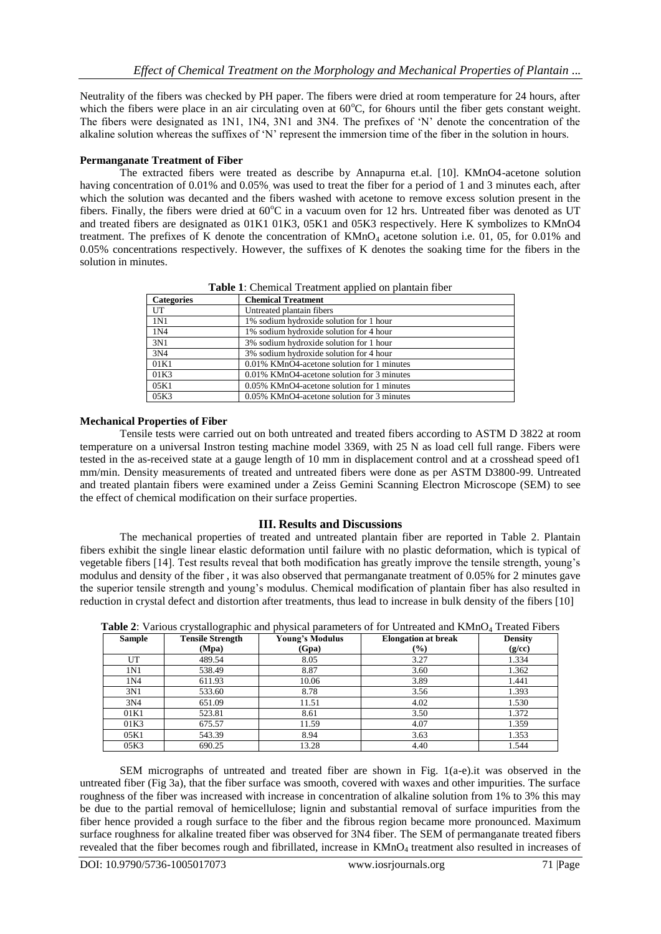Neutrality of the fibers was checked by PH paper. The fibers were dried at room temperature for 24 hours, after which the fibers were place in an air circulating oven at  $60^{\circ}$ C, for 6hours until the fiber gets constant weight. The fibers were designated as 1N1, 1N4, 3N1 and 3N4. The prefixes of 'N' denote the concentration of the alkaline solution whereas the suffixes of 'N' represent the immersion time of the fiber in the solution in hours.

### **Permanganate Treatment of Fiber**

The extracted fibers were treated as describe by Annapurna et.al. [10]. KMnO4-acetone solution having concentration of 0.01% and 0.05%, was used to treat the fiber for a period of 1 and 3 minutes each, after which the solution was decanted and the fibers washed with acetone to remove excess solution present in the fibers. Finally, the fibers were dried at  $60^{\circ}\text{C}$  in a vacuum oven for 12 hrs. Untreated fiber was denoted as UT and treated fibers are designated as 01K1 01K3, 05K1 and 05K3 respectively. Here K symbolizes to KMnO4 treatment. The prefixes of K denote the concentration of KMnO<sub>4</sub> acetone solution i.e. 01, 05, for 0.01% and 0.05% concentrations respectively. However, the suffixes of K denotes the soaking time for the fibers in the solution in minutes.

| <b>Categories</b> | <b>Chemical Treatment</b>                  |  |  |
|-------------------|--------------------------------------------|--|--|
| UT                | Untreated plantain fibers                  |  |  |
| 1 <sub>N1</sub>   | 1% sodium hydroxide solution for 1 hour    |  |  |
| 1N4               | 1% sodium hydroxide solution for 4 hour    |  |  |
| 3N1               | 3% sodium hydroxide solution for 1 hour    |  |  |
| 3N4               | 3% sodium hydroxide solution for 4 hour    |  |  |
| 01K1              | 0.01% KMnO4-acetone solution for 1 minutes |  |  |
| 01K3              | 0.01% KMnO4-acetone solution for 3 minutes |  |  |
| 05K1              | 0.05% KMnO4-acetone solution for 1 minutes |  |  |
| 05K3              | 0.05% KMnO4-acetone solution for 3 minutes |  |  |

**Table 1**: Chemical Treatment applied on plantain fiber

### **Mechanical Properties of Fiber**

Tensile tests were carried out on both untreated and treated fibers according to ASTM D 3822 at room temperature on a universal Instron testing machine model 3369, with 25 N as load cell full range. Fibers were tested in the as-received state at a gauge length of 10 mm in displacement control and at a crosshead speed of1 mm/min. Density measurements of treated and untreated fibers were done as per ASTM D3800-99. Untreated and treated plantain fibers were examined under a Zeiss Gemini Scanning Electron Microscope (SEM) to see the effect of chemical modification on their surface properties.

## **III. Results and Discussions**

The mechanical properties of treated and untreated plantain fiber are reported in Table 2. Plantain fibers exhibit the single linear elastic deformation until failure with no plastic deformation, which is typical of vegetable fibers [14]. Test results reveal that both modification has greatly improve the tensile strength, young's modulus and density of the fiber , it was also observed that permanganate treatment of 0.05% for 2 minutes gave the superior tensile strength and young's modulus. Chemical modification of plantain fiber has also resulted in reduction in crystal defect and distortion after treatments, thus lead to increase in bulk density of the fibers [10]

| <b>Sample</b> | <b>Tensile Strength</b> | <b>Young's Modulus</b> | <b>Elongation at break</b> | <b>Density</b> |
|---------------|-------------------------|------------------------|----------------------------|----------------|
|               | (Mpa)                   | (Gpa)                  | $\left(\frac{0}{0}\right)$ | (g/cc)         |
| UT            | 489.54                  | 8.05                   | 3.27                       | 1.334          |
| 1N1           | 538.49                  | 8.87                   | 3.60                       | 1.362          |
| 1N4           | 611.93                  | 10.06                  | 3.89                       | 1.441          |
| 3N1           | 533.60                  | 8.78                   | 3.56                       | 1.393          |
| 3N4           | 651.09                  | 11.51                  | 4.02                       | 1.530          |
| 01K1          | 523.81                  | 8.61                   | 3.50                       | 1.372          |
| 01K3          | 675.57                  | 11.59                  | 4.07                       | 1.359          |
| 05K1          | 543.39                  | 8.94                   | 3.63                       | 1.353          |
| 05K3          | 690.25                  | 13.28                  | 4.40                       | 1.544          |

**Table 2:** Various crystallographic and physical parameters of for Untreated and KMnO<sub>4</sub> Treated Fibers

SEM micrographs of untreated and treated fiber are shown in Fig. 1(a-e).it was observed in the untreated fiber (Fig 3a), that the fiber surface was smooth, covered with waxes and other impurities. The surface roughness of the fiber was increased with increase in concentration of alkaline solution from 1% to 3% this may be due to the partial removal of hemicellulose; lignin and substantial removal of surface impurities from the fiber hence provided a rough surface to the fiber and the fibrous region became more pronounced. Maximum surface roughness for alkaline treated fiber was observed for 3N4 fiber. The SEM of permanganate treated fibers revealed that the fiber becomes rough and fibrillated, increase in  $KMnO<sub>4</sub>$  treatment also resulted in increases of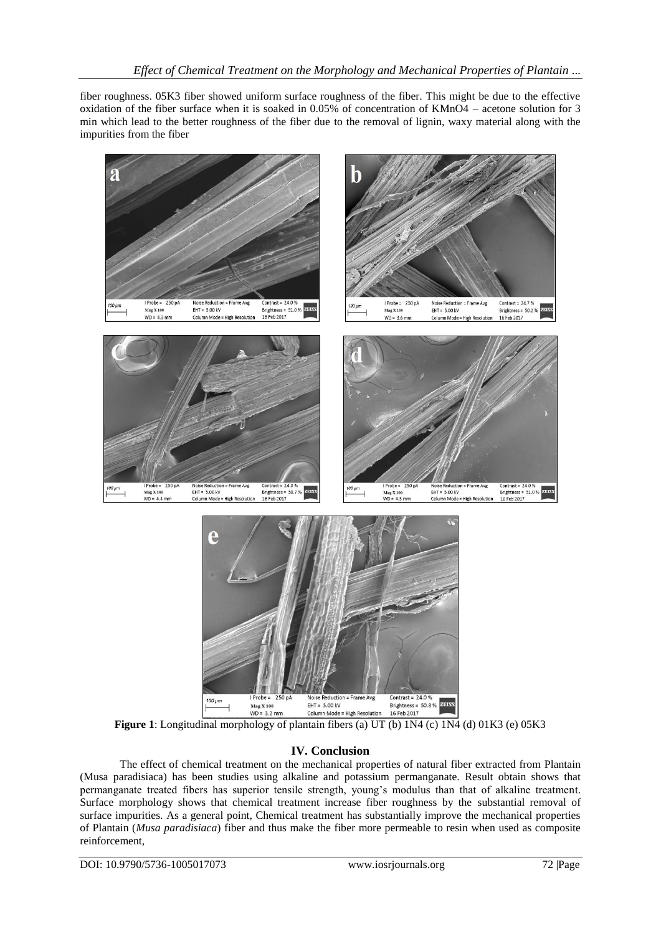fiber roughness. 05K3 fiber showed uniform surface roughness of the fiber. This might be due to the effective oxidation of the fiber surface when it is soaked in 0.05% of concentration of KMnO4 – acetone solution for 3 min which lead to the better roughness of the fiber due to the removal of lignin, waxy material along with the impurities from the fiber



**Figure 1**: Longitudinal morphology of plantain fibers (a) UT (b) 1N4 (c) 1N4 (d) 01K3 (e) 05K3

# **IV. Conclusion**

The effect of chemical treatment on the mechanical properties of natural fiber extracted from Plantain (Musa paradisiaca) has been studies using alkaline and potassium permanganate. Result obtain shows that permanganate treated fibers has superior tensile strength, young's modulus than that of alkaline treatment. Surface morphology shows that chemical treatment increase fiber roughness by the substantial removal of surface impurities. As a general point, Chemical treatment has substantially improve the mechanical properties of Plantain (*Musa paradisiaca*) fiber and thus make the fiber more permeable to resin when used as composite reinforcement,

DOI: 10.9790/5736-1005017073 www.iosrjournals.org 72 |Page